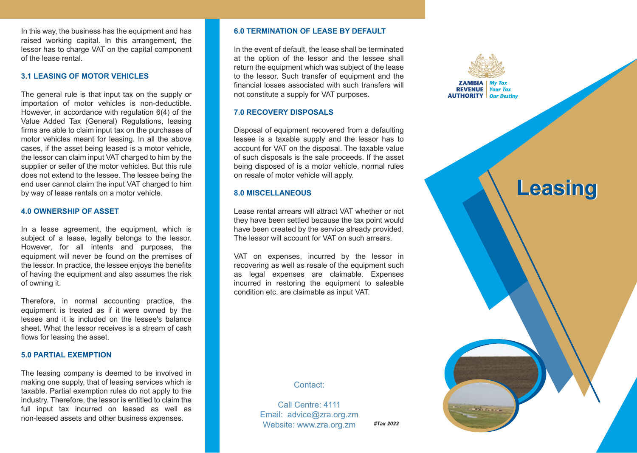In this way, the business has the equipment and has raised working capital. In this arrangement, the lessor has to charge VAT on the capital component of the lease rental.

## **3.1 LEASING OF MOTOR VEHICLES**

The general rule is that input tax on the supply or importation of motor vehicles is non-deductible. However, in accordance with regulation 6(4) of the Value Added Tax (General) Regulations, leasing firms are able to claim input tax on the purchases of motor vehicles meant for leasing. In all the above cases, if the asset being leased is a motor vehicle, the lessor can claim input VAT charged to him by the supplier or seller of the motor vehicles. But this rule does not extend to the lessee. The lessee being the end user cannot claim the input VAT charged to him by way of lease rentals on a motor vehicle.

## **4.0 OWNERSHIP OF ASSET**

In a lease agreement, the equipment, which is subject of a lease, legally belongs to the lessor. However, for all intents and purposes, the equipment will never be found on the premises of the lessor. In practice, the lessee enjoys the benefits of having the equipment and also assumes the risk of owning it.

Therefore, in normal accounting practice, the equipment is treated as if it were owned by the lessee and it is included on the lessee's balance sheet. What the lessor receives is a stream of cash flows for leasing the asset.

## **5.0 PARTIAL EXEMPTION**

The leasing company is deemed to be involved in making one supply, that of leasing services which is taxable. Partial exemption rules do not apply to the industry. Therefore, the lessor is entitled to claim the full input tax incurred on leased as well as non-leased assets and other business expenses.

#### **6.0 TERMINATION OF LEASE BY DEFAULT**

In the event of default, the lease shall be terminated at the option of the lessor and the lessee shall return the equipment which was subject of the lease to the lessor. Such transfer of equipment and the financial losses associated with such transfers will not constitute a supply for VAT purposes.

## **7.0 RECOVERY DISPOSALS**

Disposal of equipment recovered from a defaulting lessee is a taxable supply and the lessor has to account for VAT on the disposal. The taxable value of such disposals is the sale proceeds. If the asset being disposed of is a motor vehicle, normal rules on resale of motor vehicle will apply.

## **8.0 MISCELLANEOUS**

Lease rental arrears will attract VAT whether or not they have been settled because the tax point would have been created by the service already provided. The lessor will account for VAT on such arrears.

VAT on expenses, incurred by the lessor in recovering as well as resale of the equipment such as legal expenses are claimable. Expenses incurred in restoring the equipment to saleable condition etc. are claimable as input VAT.



**CALCARDO** 

# **Leasing Leasing**

## Contact:

Call Centre: 4111 Email: advice@zra.org.zm Website: www.zra.org.zm *#Tax 2022*